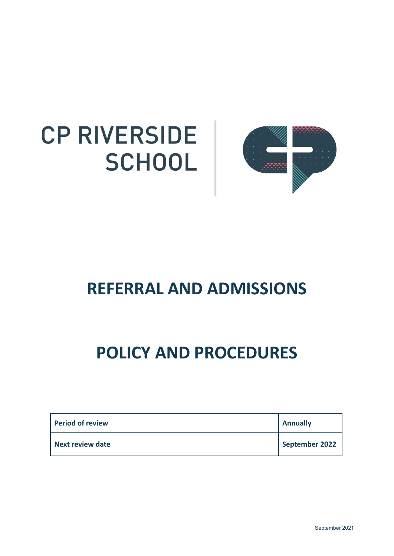



# **REFERRAL AND ADMISSIONS**

# **POLICY AND PROCEDURES**

| Period of review | <b>Annually</b> |
|------------------|-----------------|
| Next review date | September 2022  |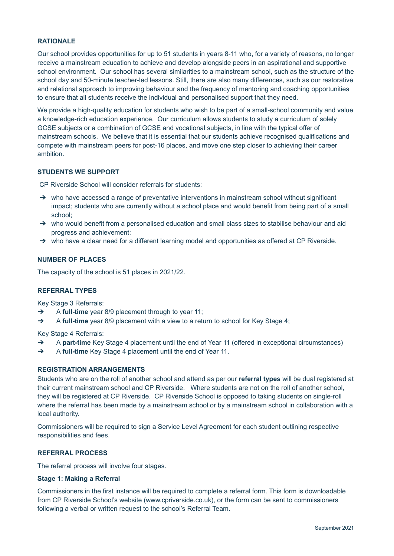## **RATIONALE**

Our school provides opportunities for up to 51 students in years 8-11 who, for a variety of reasons, no longer receive a mainstream education to achieve and develop alongside peers in an aspirational and supportive school environment. Our school has several similarities to a mainstream school, such as the structure of the school day and 50-minute teacher-led lessons. Still, there are also many differences, such as our restorative and relational approach to improving behaviour and the frequency of mentoring and coaching opportunities to ensure that all students receive the individual and personalised support that they need.

We provide a high-quality education for students who wish to be part of a small-school community and value a knowledge-rich education experience. Our curriculum allows students to study a curriculum of solely GCSE subjects or a combination of GCSE and vocational subjects, in line with the typical offer of mainstream schools. We believe that it is essential that our students achieve recognised qualifications and compete with mainstream peers for post-16 places, and move one step closer to achieving their career ambition.

# **STUDENTS WE SUPPORT**

CP Riverside School will consider referrals for students:

- $\rightarrow$  who have accessed a range of preventative interventions in mainstream school without significant impact; students who are currently without a school place and would benefit from being part of a small school;
- → who would benefit from a personalised education and small class sizes to stabilise behaviour and aid progress and achievement;
- ➔ who have a clear need for a different learning model and opportunities as offered at CP Riverside.

## **NUMBER OF PLACES**

The capacity of the school is 51 places in 2021/22.

#### **REFERRAL TYPES**

Key Stage 3 Referrals:

- ➔ A **full-time** year 8/9 placement through to year 11;
- ➔ A **full-time** year 8/9 placement with a view to a return to school for Key Stage 4;

Key Stage 4 Referrals:

- ➔ A **part-time** Key Stage 4 placement until the end of Year 11 (offered in exceptional circumstances)
- ➔ A **full-time** Key Stage 4 placement until the end of Year 11.

#### **REGISTRATION ARRANGEMENTS**

Students who are on the roll of another school and attend as per our **referral types** will be dual registered at their current mainstream school and CP Riverside. Where students are not on the roll of another school, they will be registered at CP Riverside. CP Riverside School is opposed to taking students on single-roll where the referral has been made by a mainstream school or by a mainstream school in collaboration with a local authority.

Commissioners will be required to sign a Service Level Agreement for each student outlining respective responsibilities and fees.

#### **REFERRAL PROCESS**

The referral process will involve four stages.

# **Stage 1: Making a Referral**

Commissioners in the first instance will be required to complete a referral form. This form is downloadable from CP Riverside School's website (www.cpriverside.co.uk), or the form can be sent to commissioners following a verbal or written request to the school's Referral Team.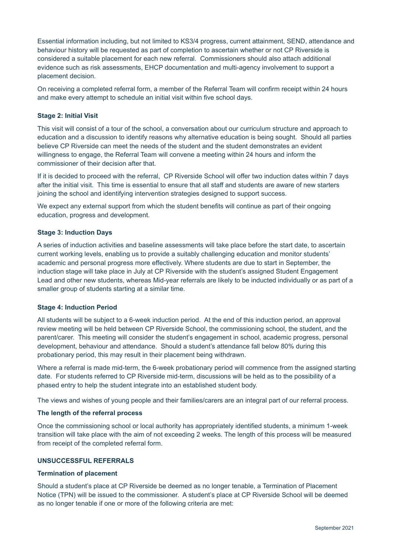Essential information including, but not limited to KS3/4 progress, current attainment, SEND, attendance and behaviour history will be requested as part of completion to ascertain whether or not CP Riverside is considered a suitable placement for each new referral. Commissioners should also attach additional evidence such as risk assessments, EHCP documentation and multi-agency involvement to support a placement decision.

On receiving a completed referral form, a member of the Referral Team will confirm receipt within 24 hours and make every attempt to schedule an initial visit within five school days.

## **Stage 2: Initial Visit**

This visit will consist of a tour of the school, a conversation about our curriculum structure and approach to education and a discussion to identify reasons why alternative education is being sought. Should all parties believe CP Riverside can meet the needs of the student and the student demonstrates an evident willingness to engage, the Referral Team will convene a meeting within 24 hours and inform the commissioner of their decision after that.

If it is decided to proceed with the referral, CP Riverside School will offer two induction dates within 7 days after the initial visit. This time is essential to ensure that all staff and students are aware of new starters joining the school and identifying intervention strategies designed to support success.

We expect any external support from which the student benefits will continue as part of their ongoing education, progress and development.

#### **Stage 3: Induction Days**

A series of induction activities and baseline assessments will take place before the start date, to ascertain current working levels, enabling us to provide a suitably challenging education and monitor students' academic and personal progress more effectively. Where students are due to start in September, the induction stage will take place in July at CP Riverside with the student's assigned Student Engagement Lead and other new students, whereas Mid-year referrals are likely to be inducted individually or as part of a smaller group of students starting at a similar time.

#### **Stage 4: Induction Period**

All students will be subject to a 6-week induction period. At the end of this induction period, an approval review meeting will be held between CP Riverside School, the commissioning school, the student, and the parent/carer. This meeting will consider the student's engagement in school, academic progress, personal development, behaviour and attendance. Should a student's attendance fall below 80% during this probationary period, this may result in their placement being withdrawn.

Where a referral is made mid-term, the 6-week probationary period will commence from the assigned starting date. For students referred to CP Riverside mid-term, discussions will be held as to the possibility of a phased entry to help the student integrate into an established student body.

The views and wishes of young people and their families/carers are an integral part of our referral process.

#### **The length of the referral process**

Once the commissioning school or local authority has appropriately identified students, a minimum 1-week transition will take place with the aim of not exceeding 2 weeks. The length of this process will be measured from receipt of the completed referral form.

### **UNSUCCESSFUL REFERRALS**

#### **Termination of placement**

Should a student's place at CP Riverside be deemed as no longer tenable, a Termination of Placement Notice (TPN) will be issued to the commissioner. A student's place at CP Riverside School will be deemed as no longer tenable if one or more of the following criteria are met: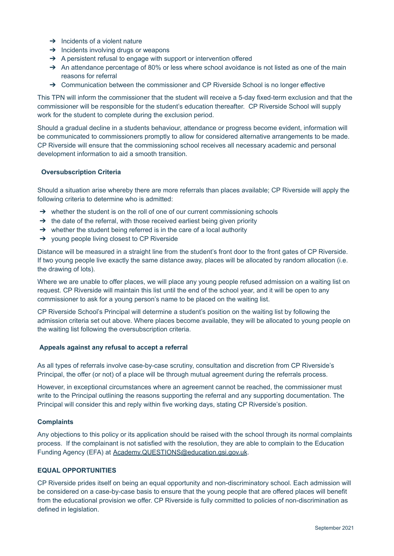- $\rightarrow$  Incidents of a violent nature
- $\rightarrow$  Incidents involving drugs or weapons
- → A persistent refusal to engage with support or intervention offered
- $\rightarrow$  An attendance percentage of 80% or less where school avoidance is not listed as one of the main reasons for referral
- $\rightarrow$  Communication between the commissioner and CP Riverside School is no longer effective

This TPN will inform the commissioner that the student will receive a 5-day fixed-term exclusion and that the commissioner will be responsible for the student's education thereafter. CP Riverside School will supply work for the student to complete during the exclusion period.

Should a gradual decline in a students behaviour, attendance or progress become evident, information will be communicated to commissioners promptly to allow for considered alternative arrangements to be made. CP Riverside will ensure that the commissioning school receives all necessary academic and personal development information to aid a smooth transition.

### **Oversubscription Criteria**

Should a situation arise whereby there are more referrals than places available; CP Riverside will apply the following criteria to determine who is admitted:

- → whether the student is on the roll of one of our current commissioning schools
- $\rightarrow$  the date of the referral, with those received earliest being given priority
- $\rightarrow$  whether the student being referred is in the care of a local authority
- ➔ young people living closest to CP Riverside

Distance will be measured in a straight line from the student's front door to the front gates of CP Riverside. If two young people live exactly the same distance away, places will be allocated by random allocation (i.e. the drawing of lots).

Where we are unable to offer places, we will place any young people refused admission on a waiting list on request. CP Riverside will maintain this list until the end of the school year, and it will be open to any commissioner to ask for a young person's name to be placed on the waiting list.

CP Riverside School's Principal will determine a student's position on the waiting list by following the admission criteria set out above. Where places become available, they will be allocated to young people on the waiting list following the oversubscription criteria.

#### **Appeals against any refusal to accept a referral**

As all types of referrals involve case-by-case scrutiny, consultation and discretion from CP Riverside's Principal, the offer (or not) of a place will be through mutual agreement during the referrals process.

However, in exceptional circumstances where an agreement cannot be reached, the commissioner must write to the Principal outlining the reasons supporting the referral and any supporting documentation. The Principal will consider this and reply within five working days, stating CP Riverside's position.

### **Complaints**

Any objections to this policy or its application should be raised with the school through its normal complaints process. If the complainant is not satisfied with the resolution, they are able to complain to the Education Funding Agency (EFA) at Academy.QUESTIONS@education.gsi.gov.uk.

#### **EQUAL OPPORTUNITIES**

CP Riverside prides itself on being an equal opportunity and non-discriminatory school. Each admission will be considered on a case-by-case basis to ensure that the young people that are offered places will benefit from the educational provision we offer. CP Riverside is fully committed to policies of non-discrimination as defined in legislation.